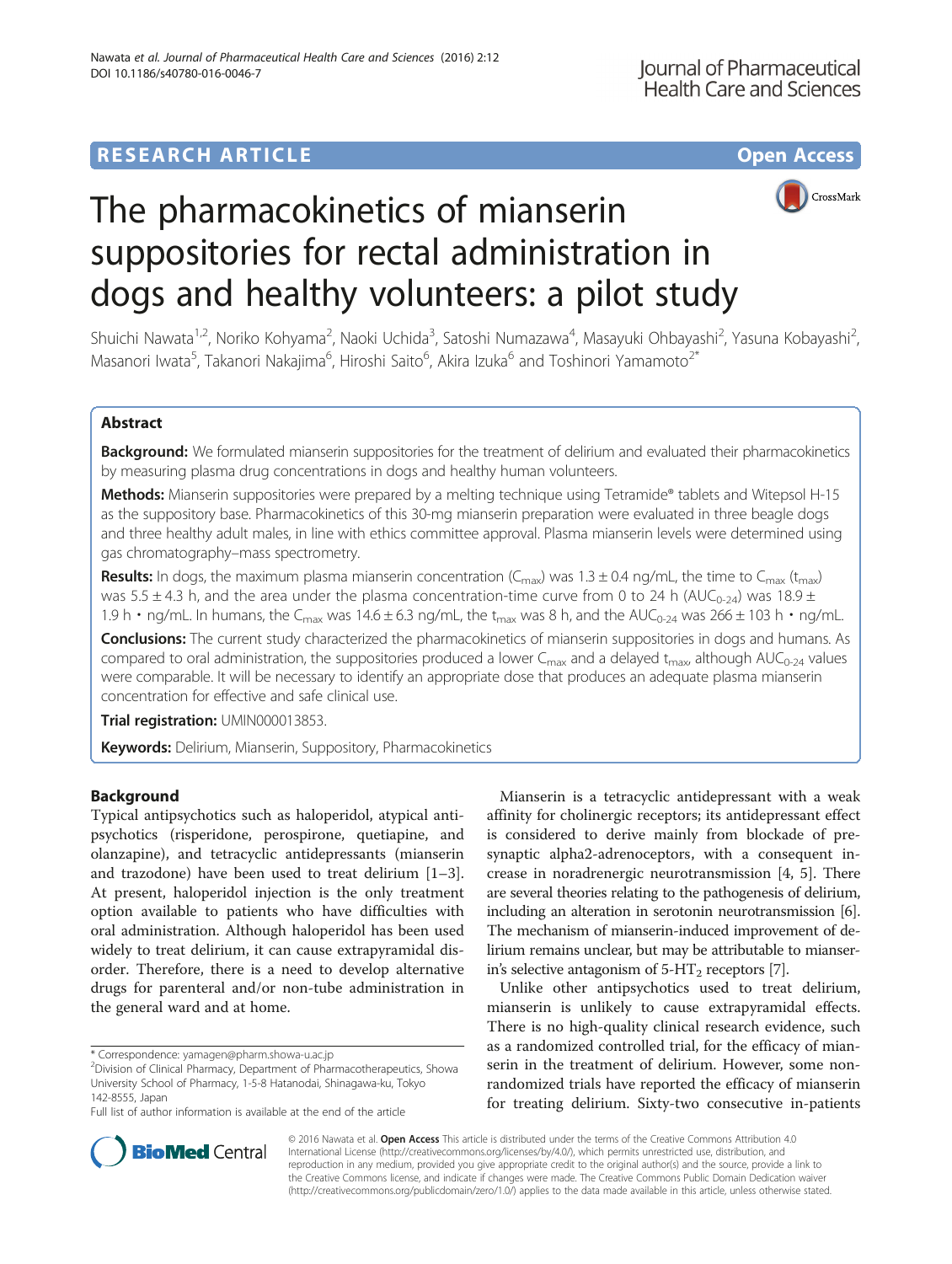## **RESEARCH ARTICLE Example 2014 12:30 The Contract of Contract ACCESS**





# The pharmacokinetics of mianserin suppositories for rectal administration in dogs and healthy volunteers: a pilot study

Shuichi Nawata<sup>1,2</sup>, Noriko Kohyama<sup>2</sup>, Naoki Uchida<sup>3</sup>, Satoshi Numazawa<sup>4</sup>, Masayuki Ohbayashi<sup>2</sup>, Yasuna Kobayashi<sup>2</sup> .<br>, Masanori Iwata<sup>5</sup>, Takanori Nakajima<sup>6</sup>, Hiroshi Saito<sup>6</sup>, Akira Izuka<sup>6</sup> and Toshinori Yamamoto<sup>2\*</sup>

## Abstract

Background: We formulated mianserin suppositories for the treatment of delirium and evaluated their pharmacokinetics by measuring plasma drug concentrations in dogs and healthy human volunteers.

Methods: Mianserin suppositories were prepared by a melting technique using Tetramide® tablets and Witepsol H-15 as the suppository base. Pharmacokinetics of this 30-mg mianserin preparation were evaluated in three beagle dogs and three healthy adult males, in line with ethics committee approval. Plasma mianserin levels were determined using gas chromatography–mass spectrometry.

**Results:** In dogs, the maximum plasma mianserin concentration ( $C_{\text{max}}$ ) was 1.3 ± 0.4 ng/mL, the time to  $C_{\text{max}}$  (t<sub>max</sub>) was 5.5  $\pm$  4.3 h, and the area under the plasma concentration-time curve from 0 to 24 h (AUC<sub>0-24</sub>) was 18.9  $\pm$ 1.9 h • ng/mL. In humans, the C<sub>max</sub> was 14.6 ± 6.3 ng/mL, the t<sub>max</sub> was 8 h, and the AUC<sub>0-24</sub> was 266 ± 103 h • ng/mL.

Conclusions: The current study characterized the pharmacokinetics of mianserin suppositories in dogs and humans. As compared to oral administration, the suppositories produced a lower C<sub>max</sub> and a delayed t<sub>max</sub>, although AUC<sub>0-24</sub> values were comparable. It will be necessary to identify an appropriate dose that produces an adequate plasma mianserin concentration for effective and safe clinical use.

Trial registration: [UMIN000013853.](http://www.umin.ac.jp/ctr/index.htm)

Keywords: Delirium, Mianserin, Suppository, Pharmacokinetics

## **Background**

Typical antipsychotics such as haloperidol, atypical antipsychotics (risperidone, perospirone, quetiapine, and olanzapine), and tetracyclic antidepressants (mianserin and trazodone) have been used to treat delirium [\[1](#page-6-0)–[3](#page-6-0)]. At present, haloperidol injection is the only treatment option available to patients who have difficulties with oral administration. Although haloperidol has been used widely to treat delirium, it can cause extrapyramidal disorder. Therefore, there is a need to develop alternative drugs for parenteral and/or non-tube administration in the general ward and at home.

Mianserin is a tetracyclic antidepressant with a weak affinity for cholinergic receptors; its antidepressant effect is considered to derive mainly from blockade of presynaptic alpha2-adrenoceptors, with a consequent increase in noradrenergic neurotransmission [[4, 5\]](#page-6-0). There are several theories relating to the pathogenesis of delirium, including an alteration in serotonin neurotransmission [[6](#page-6-0)]. The mechanism of mianserin-induced improvement of delirium remains unclear, but may be attributable to mianserin's selective antagonism of  $5-HT<sub>2</sub>$  receptors [\[7\]](#page-6-0).

Unlike other antipsychotics used to treat delirium, mianserin is unlikely to cause extrapyramidal effects. There is no high-quality clinical research evidence, such as a randomized controlled trial, for the efficacy of mianserin in the treatment of delirium. However, some nonrandomized trials have reported the efficacy of mianserin for treating delirium. Sixty-two consecutive in-patients



© 2016 Nawata et al. Open Access This article is distributed under the terms of the Creative Commons Attribution 4.0 International License [\(http://creativecommons.org/licenses/by/4.0/](http://creativecommons.org/licenses/by/4.0/)), which permits unrestricted use, distribution, and reproduction in any medium, provided you give appropriate credit to the original author(s) and the source, provide a link to the Creative Commons license, and indicate if changes were made. The Creative Commons Public Domain Dedication waiver [\(http://creativecommons.org/publicdomain/zero/1.0/](http://creativecommons.org/publicdomain/zero/1.0/)) applies to the data made available in this article, unless otherwise stated.

<sup>\*</sup> Correspondence: [yamagen@pharm.showa-u.ac.jp](mailto:yamagen@pharm.showa-u.ac.jp) <sup>2</sup>

Division of Clinical Pharmacy, Department of Pharmacotherapeutics, Showa University School of Pharmacy, 1-5-8 Hatanodai, Shinagawa-ku, Tokyo 142-8555, Japan

Full list of author information is available at the end of the article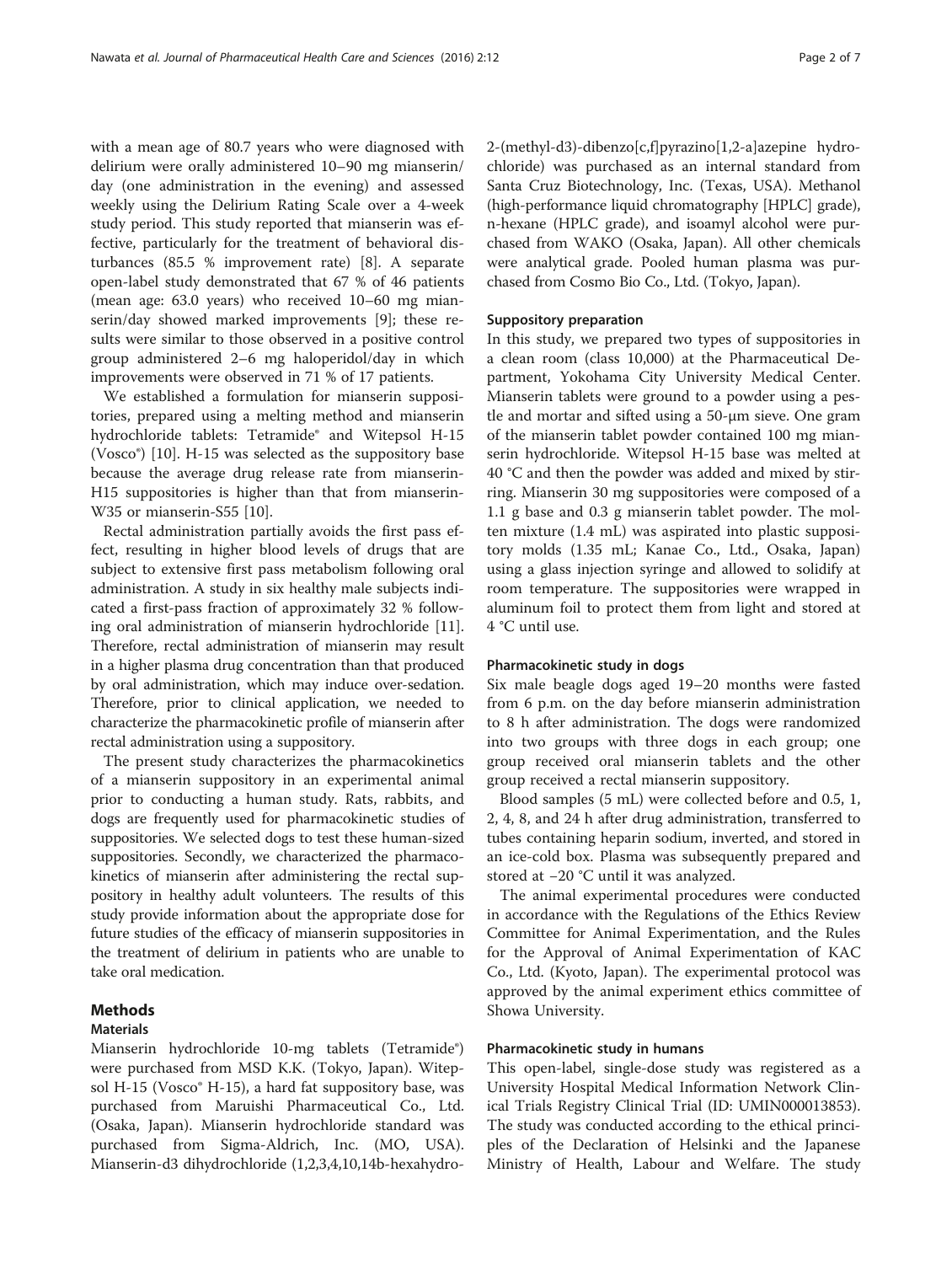with a mean age of 80.7 years who were diagnosed with delirium were orally administered 10–90 mg mianserin/ day (one administration in the evening) and assessed weekly using the Delirium Rating Scale over a 4-week study period. This study reported that mianserin was effective, particularly for the treatment of behavioral disturbances (85.5 % improvement rate) [\[8](#page-6-0)]. A separate open-label study demonstrated that 67 % of 46 patients (mean age: 63.0 years) who received 10–60 mg mianserin/day showed marked improvements [[9](#page-6-0)]; these results were similar to those observed in a positive control group administered 2–6 mg haloperidol/day in which improvements were observed in 71 % of 17 patients.

We established a formulation for mianserin suppositories, prepared using a melting method and mianserin hydrochloride tablets: Tetramide® and Witepsol H-15 (Vosco®) [[10](#page-6-0)]. H-15 was selected as the suppository base because the average drug release rate from mianserin-H15 suppositories is higher than that from mianserin-W35 or mianserin-S55 [[10\]](#page-6-0).

Rectal administration partially avoids the first pass effect, resulting in higher blood levels of drugs that are subject to extensive first pass metabolism following oral administration. A study in six healthy male subjects indicated a first-pass fraction of approximately 32 % following oral administration of mianserin hydrochloride [\[11](#page-6-0)]. Therefore, rectal administration of mianserin may result in a higher plasma drug concentration than that produced by oral administration, which may induce over-sedation. Therefore, prior to clinical application, we needed to characterize the pharmacokinetic profile of mianserin after rectal administration using a suppository.

The present study characterizes the pharmacokinetics of a mianserin suppository in an experimental animal prior to conducting a human study. Rats, rabbits, and dogs are frequently used for pharmacokinetic studies of suppositories. We selected dogs to test these human-sized suppositories. Secondly, we characterized the pharmacokinetics of mianserin after administering the rectal suppository in healthy adult volunteers. The results of this study provide information about the appropriate dose for future studies of the efficacy of mianserin suppositories in the treatment of delirium in patients who are unable to take oral medication.

## Methods

## Materials

Mianserin hydrochloride 10-mg tablets (Tetramide®) were purchased from MSD K.K. (Tokyo, Japan). Witepsol H-15 (Vosco® H-15), a hard fat suppository base, was purchased from Maruishi Pharmaceutical Co., Ltd. (Osaka, Japan). Mianserin hydrochloride standard was purchased from Sigma-Aldrich, Inc. (MO, USA). Mianserin-d3 dihydrochloride (1,2,3,4,10,14b-hexahydro2-(methyl-d3)-dibenzo[c,f]pyrazino[1,2-a]azepine hydrochloride) was purchased as an internal standard from Santa Cruz Biotechnology, Inc. (Texas, USA). Methanol (high-performance liquid chromatography [HPLC] grade), n-hexane (HPLC grade), and isoamyl alcohol were purchased from WAKO (Osaka, Japan). All other chemicals were analytical grade. Pooled human plasma was purchased from Cosmo Bio Co., Ltd. (Tokyo, Japan).

## Suppository preparation

In this study, we prepared two types of suppositories in a clean room (class 10,000) at the Pharmaceutical Department, Yokohama City University Medical Center. Mianserin tablets were ground to a powder using a pestle and mortar and sifted using a 50-μm sieve. One gram of the mianserin tablet powder contained 100 mg mianserin hydrochloride. Witepsol H-15 base was melted at 40 °C and then the powder was added and mixed by stirring. Mianserin 30 mg suppositories were composed of a 1.1 g base and 0.3 g mianserin tablet powder. The molten mixture (1.4 mL) was aspirated into plastic suppository molds (1.35 mL; Kanae Co., Ltd., Osaka, Japan) using a glass injection syringe and allowed to solidify at room temperature. The suppositories were wrapped in aluminum foil to protect them from light and stored at 4 °C until use.

#### Pharmacokinetic study in dogs

Six male beagle dogs aged 19–20 months were fasted from 6 p.m. on the day before mianserin administration to 8 h after administration. The dogs were randomized into two groups with three dogs in each group; one group received oral mianserin tablets and the other group received a rectal mianserin suppository.

Blood samples (5 mL) were collected before and 0.5, 1, 2, 4, 8, and 24 h after drug administration, transferred to tubes containing heparin sodium, inverted, and stored in an ice-cold box. Plasma was subsequently prepared and stored at −20 °C until it was analyzed.

The animal experimental procedures were conducted in accordance with the Regulations of the Ethics Review Committee for Animal Experimentation, and the Rules for the Approval of Animal Experimentation of KAC Co., Ltd. (Kyoto, Japan). The experimental protocol was approved by the animal experiment ethics committee of Showa University.

## Pharmacokinetic study in humans

This open-label, single-dose study was registered as a University Hospital Medical Information Network Clinical Trials Registry Clinical Trial (ID: UMIN000013853). The study was conducted according to the ethical principles of the Declaration of Helsinki and the Japanese Ministry of Health, Labour and Welfare. The study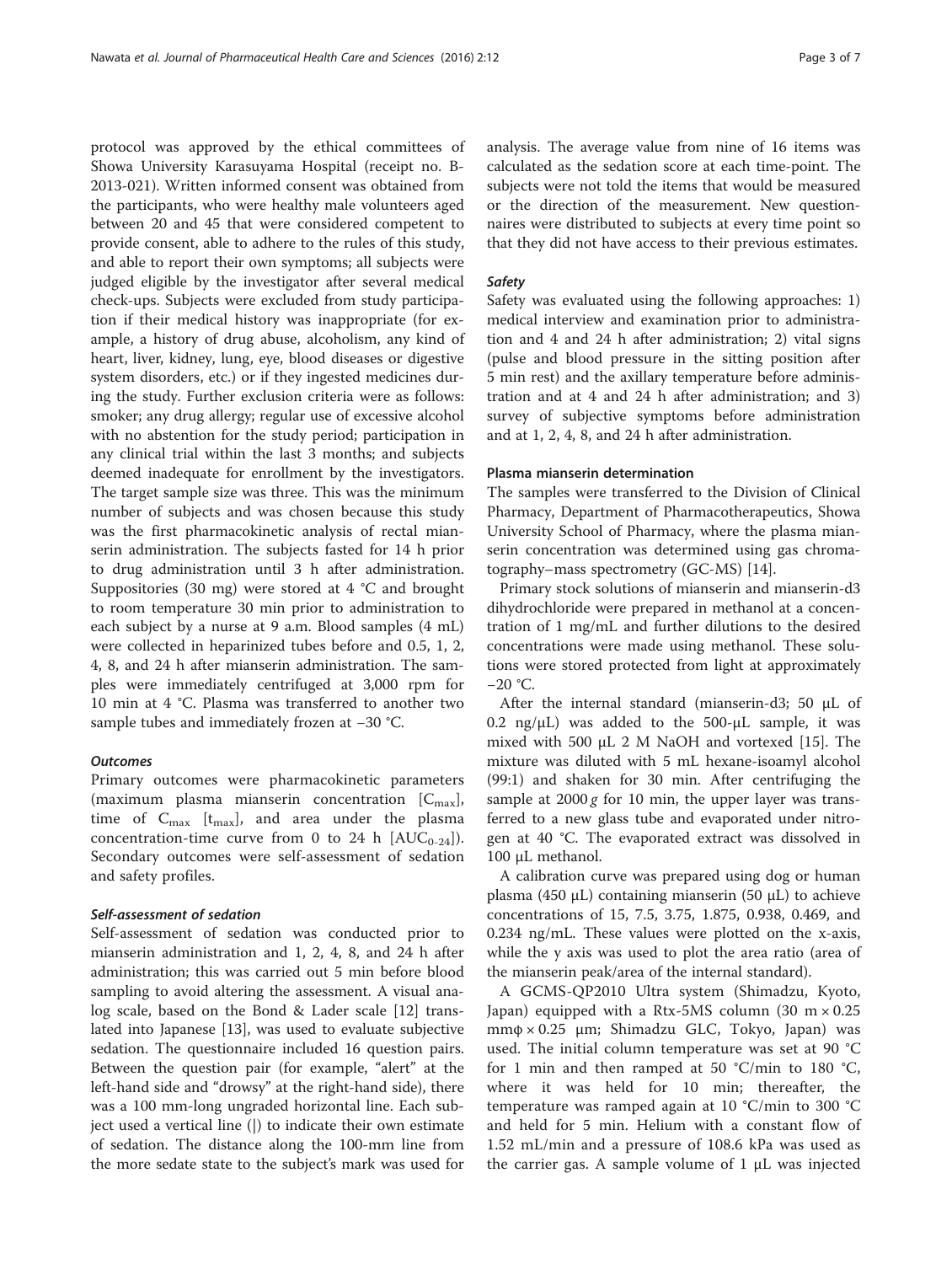protocol was approved by the ethical committees of Showa University Karasuyama Hospital (receipt no. B-2013-021). Written informed consent was obtained from the participants, who were healthy male volunteers aged between 20 and 45 that were considered competent to provide consent, able to adhere to the rules of this study, and able to report their own symptoms; all subjects were judged eligible by the investigator after several medical check-ups. Subjects were excluded from study participation if their medical history was inappropriate (for example, a history of drug abuse, alcoholism, any kind of heart, liver, kidney, lung, eye, blood diseases or digestive system disorders, etc.) or if they ingested medicines during the study. Further exclusion criteria were as follows: smoker; any drug allergy; regular use of excessive alcohol with no abstention for the study period; participation in any clinical trial within the last 3 months; and subjects deemed inadequate for enrollment by the investigators. The target sample size was three. This was the minimum number of subjects and was chosen because this study was the first pharmacokinetic analysis of rectal mianserin administration. The subjects fasted for 14 h prior to drug administration until 3 h after administration. Suppositories (30 mg) were stored at 4 °C and brought to room temperature 30 min prior to administration to each subject by a nurse at 9 a.m. Blood samples (4 mL) were collected in heparinized tubes before and 0.5, 1, 2, 4, 8, and 24 h after mianserin administration. The samples were immediately centrifuged at 3,000 rpm for 10 min at 4 °C. Plasma was transferred to another two sample tubes and immediately frozen at −30 °C.

## **Outcomes**

Primary outcomes were pharmacokinetic parameters (maximum plasma mianserin concentration  $[C_{\text{max}}]$ , time of  $C_{\text{max}}$  [t<sub>max</sub>], and area under the plasma concentration-time curve from 0 to 24 h  $[AUC_{0-24}]$ ). Secondary outcomes were self-assessment of sedation and safety profiles.

## Self-assessment of sedation

Self-assessment of sedation was conducted prior to mianserin administration and 1, 2, 4, 8, and 24 h after administration; this was carried out 5 min before blood sampling to avoid altering the assessment. A visual analog scale, based on the Bond & Lader scale [\[12](#page-6-0)] translated into Japanese [[13\]](#page-6-0), was used to evaluate subjective sedation. The questionnaire included 16 question pairs. Between the question pair (for example, "alert" at the left-hand side and "drowsy" at the right-hand side), there was a 100 mm-long ungraded horizontal line. Each subject used a vertical line (|) to indicate their own estimate of sedation. The distance along the 100-mm line from the more sedate state to the subject's mark was used for analysis. The average value from nine of 16 items was calculated as the sedation score at each time-point. The subjects were not told the items that would be measured or the direction of the measurement. New questionnaires were distributed to subjects at every time point so that they did not have access to their previous estimates.

## Safety

Safety was evaluated using the following approaches: 1) medical interview and examination prior to administration and 4 and 24 h after administration; 2) vital signs (pulse and blood pressure in the sitting position after 5 min rest) and the axillary temperature before administration and at 4 and 24 h after administration; and 3) survey of subjective symptoms before administration and at 1, 2, 4, 8, and 24 h after administration.

#### Plasma mianserin determination

The samples were transferred to the Division of Clinical Pharmacy, Department of Pharmacotherapeutics, Showa University School of Pharmacy, where the plasma mianserin concentration was determined using gas chromatography–mass spectrometry (GC-MS) [[14\]](#page-6-0).

Primary stock solutions of mianserin and mianserin-d3 dihydrochloride were prepared in methanol at a concentration of 1 mg/mL and further dilutions to the desired concentrations were made using methanol. These solutions were stored protected from light at approximately −20 °C.

After the internal standard (mianserin-d3; 50 μL of 0.2 ng/ $\mu$ L) was added to the 500- $\mu$ L sample, it was mixed with 500 μL 2 M NaOH and vortexed [\[15](#page-6-0)]. The mixture was diluted with 5 mL hexane-isoamyl alcohol (99:1) and shaken for 30 min. After centrifuging the sample at  $2000 g$  for 10 min, the upper layer was transferred to a new glass tube and evaporated under nitrogen at 40 °C. The evaporated extract was dissolved in 100 μL methanol.

A calibration curve was prepared using dog or human plasma (450 μL) containing mianserin (50 μL) to achieve concentrations of 15, 7.5, 3.75, 1.875, 0.938, 0.469, and 0.234 ng/mL. These values were plotted on the x-axis, while the y axis was used to plot the area ratio (area of the mianserin peak/area of the internal standard).

A GCMS-QP2010 Ultra system (Shimadzu, Kyoto, Japan) equipped with a Rtx-5MS column (30 m  $\times$  0.25 mmφ × 0.25 μm; Shimadzu GLC, Tokyo, Japan) was used. The initial column temperature was set at 90 °C for 1 min and then ramped at 50 °C/min to 180 °C, where it was held for 10 min; thereafter, the temperature was ramped again at 10 °C/min to 300 °C and held for 5 min. Helium with a constant flow of 1.52 mL/min and a pressure of 108.6 kPa was used as the carrier gas. A sample volume of 1 μL was injected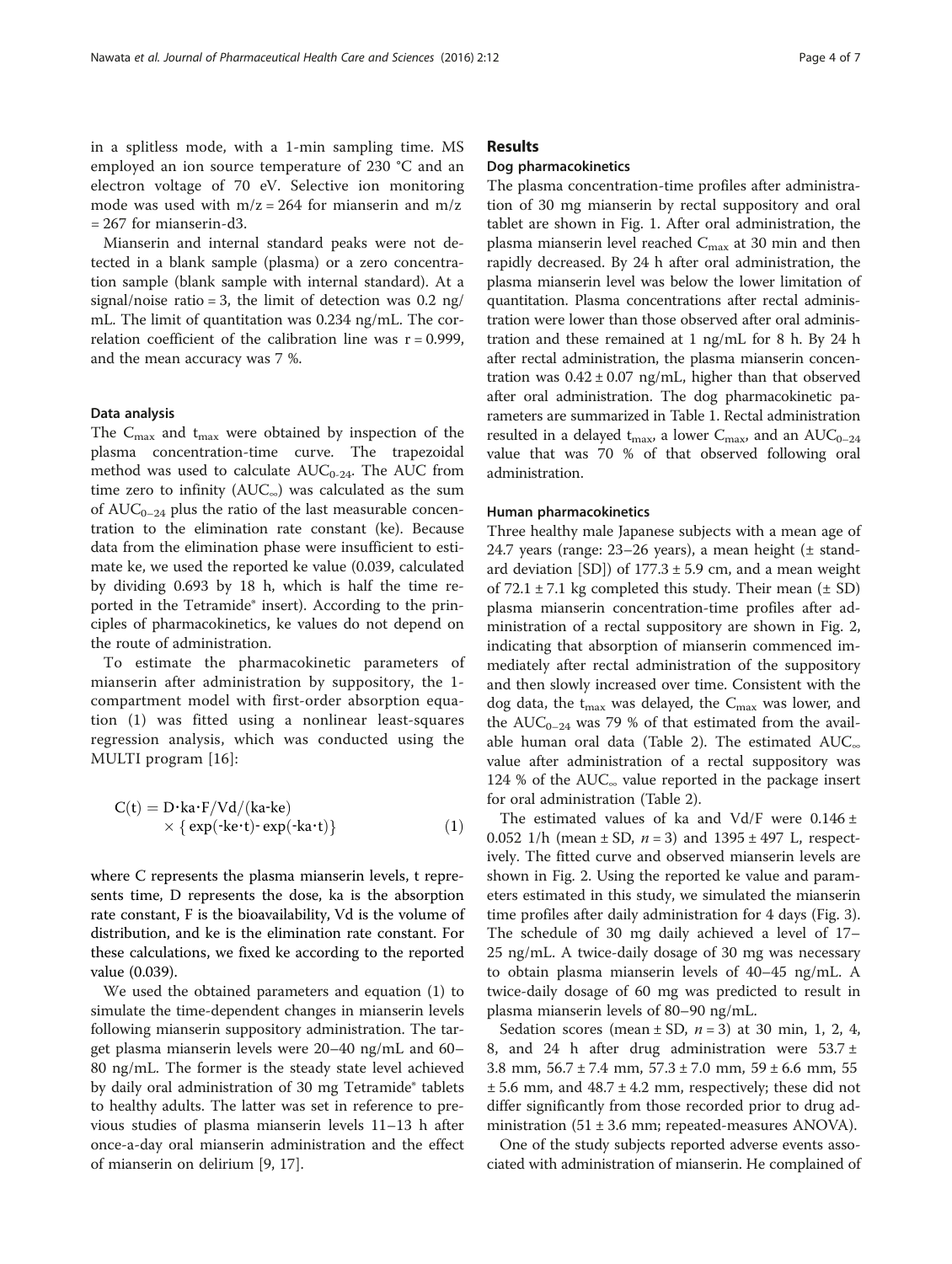<span id="page-3-0"></span>in a splitless mode, with a 1-min sampling time. MS employed an ion source temperature of 230 °C and an electron voltage of 70 eV. Selective ion monitoring mode was used with  $m/z = 264$  for mianserin and  $m/z$  $= 267$  for mianserin-d3.

Mianserin and internal standard peaks were not detected in a blank sample (plasma) or a zero concentration sample (blank sample with internal standard). At a signal/noise ratio = 3, the limit of detection was  $0.2 \text{ ng}$ / mL. The limit of quantitation was 0.234 ng/mL. The correlation coefficient of the calibration line was  $r = 0.999$ , and the mean accuracy was 7 %.

## Data analysis

The  $C_{\text{max}}$  and  $t_{\text{max}}$  were obtained by inspection of the plasma concentration-time curve. The trapezoidal method was used to calculate  $AUC_{0-24}$ . The AUC from time zero to infinity  $(AUC_{\infty})$  was calculated as the sum of  $AUC_{0-24}$  plus the ratio of the last measurable concentration to the elimination rate constant (ke). Because data from the elimination phase were insufficient to estimate ke, we used the reported ke value (0.039, calculated by dividing 0.693 by 18 h, which is half the time reported in the Tetramide® insert). According to the principles of pharmacokinetics, ke values do not depend on the route of administration.

To estimate the pharmacokinetic parameters of mianserin after administration by suppository, the 1 compartment model with first-order absorption equation (1) was fitted using a nonlinear least-squares regression analysis, which was conducted using the MULTI program [\[16\]](#page-6-0):

$$
C(t) = D \cdot ka \cdot F/Vd/(ka \cdot ke)
$$
  
 
$$
\times \{ \exp(\cdot ke \cdot t) \cdot \exp(\cdot ka \cdot t) \}
$$
 (1)

where C represents the plasma mianserin levels, t represents time, D represents the dose, ka is the absorption rate constant, F is the bioavailability, Vd is the volume of distribution, and ke is the elimination rate constant. For these calculations, we fixed ke according to the reported value (0.039).

We used the obtained parameters and equation (1) to simulate the time-dependent changes in mianserin levels following mianserin suppository administration. The target plasma mianserin levels were 20–40 ng/mL and 60– 80 ng/mL. The former is the steady state level achieved by daily oral administration of 30 mg Tetramide® tablets to healthy adults. The latter was set in reference to previous studies of plasma mianserin levels 11–13 h after once-a-day oral mianserin administration and the effect of mianserin on delirium [[9, 17\]](#page-6-0).

## Results

### Dog pharmacokinetics

The plasma concentration-time profiles after administration of 30 mg mianserin by rectal suppository and oral tablet are shown in Fig. [1](#page-4-0). After oral administration, the plasma mianserin level reached  $C_{\text{max}}$  at 30 min and then rapidly decreased. By 24 h after oral administration, the plasma mianserin level was below the lower limitation of quantitation. Plasma concentrations after rectal administration were lower than those observed after oral administration and these remained at 1 ng/mL for 8 h. By 24 h after rectal administration, the plasma mianserin concentration was  $0.42 \pm 0.07$  ng/mL, higher than that observed after oral administration. The dog pharmacokinetic parameters are summarized in Table [1](#page-4-0). Rectal administration resulted in a delayed  $t_{\text{max}}$ , a lower  $C_{\text{max}}$ , and an  $AUC_{0-24}$ value that was 70 % of that observed following oral administration.

#### Human pharmacokinetics

Three healthy male Japanese subjects with a mean age of 24.7 years (range: 23–26 years), a mean height (± standard deviation [SD]) of  $177.3 \pm 5.9$  cm, and a mean weight of  $72.1 \pm 7.1$  kg completed this study. Their mean ( $\pm$  SD) plasma mianserin concentration-time profiles after administration of a rectal suppository are shown in Fig. [2](#page-5-0), indicating that absorption of mianserin commenced immediately after rectal administration of the suppository and then slowly increased over time. Consistent with the dog data, the  $t_{\text{max}}$  was delayed, the  $C_{\text{max}}$  was lower, and the  $AUC_{0-24}$  was 79 % of that estimated from the available human oral data (Table [2](#page-5-0)). The estimated AUC<sup>∞</sup> value after administration of a rectal suppository was 124 % of the AUC<sup>∞</sup> value reported in the package insert for oral administration (Table [2\)](#page-5-0).

The estimated values of ka and Vd/F were  $0.146 \pm$ 0.052 1/h (mean  $\pm$  SD,  $n = 3$ ) and 1395  $\pm$  497 L, respectively. The fitted curve and observed mianserin levels are shown in Fig. [2](#page-5-0). Using the reported ke value and parameters estimated in this study, we simulated the mianserin time profiles after daily administration for 4 days (Fig. [3](#page-5-0)). The schedule of 30 mg daily achieved a level of 17– 25 ng/mL. A twice-daily dosage of 30 mg was necessary to obtain plasma mianserin levels of 40–45 ng/mL. A twice-daily dosage of 60 mg was predicted to result in plasma mianserin levels of 80–90 ng/mL.

Sedation scores (mean  $\pm$  SD,  $n = 3$ ) at 30 min, 1, 2, 4, 8, and 24 h after drug administration were  $53.7 \pm 1$ 3.8 mm,  $56.7 \pm 7.4$  mm,  $57.3 \pm 7.0$  mm,  $59 \pm 6.6$  mm,  $55$ ± 5.6 mm, and 48.7 ± 4.2 mm, respectively; these did not differ significantly from those recorded prior to drug administration  $(51 \pm 3.6 \text{ mm})$ ; repeated-measures ANOVA).

One of the study subjects reported adverse events associated with administration of mianserin. He complained of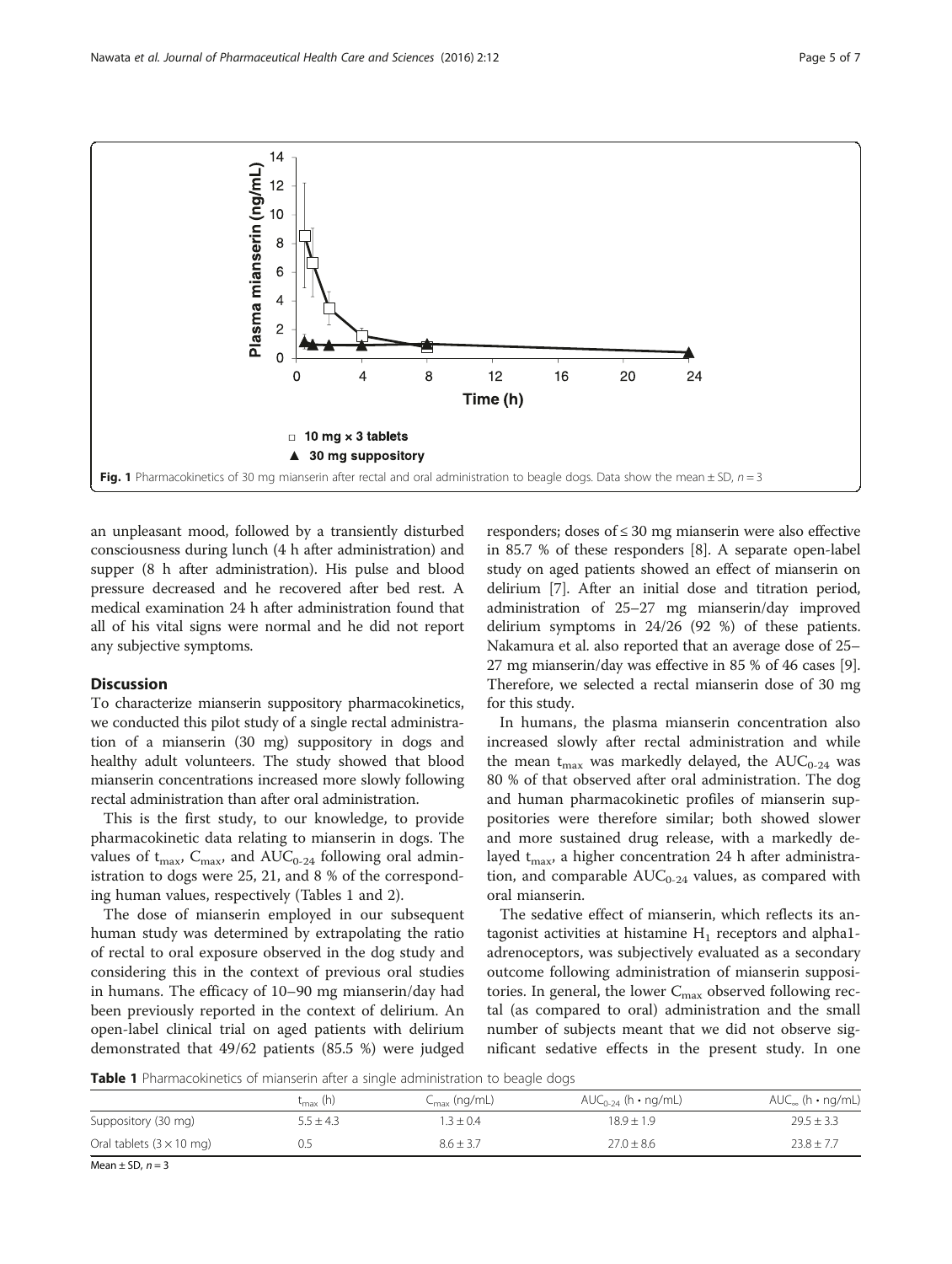<span id="page-4-0"></span>

an unpleasant mood, followed by a transiently disturbed consciousness during lunch (4 h after administration) and supper (8 h after administration). His pulse and blood pressure decreased and he recovered after bed rest. A medical examination 24 h after administration found that all of his vital signs were normal and he did not report any subjective symptoms.

## **Discussion**

To characterize mianserin suppository pharmacokinetics, we conducted this pilot study of a single rectal administration of a mianserin (30 mg) suppository in dogs and healthy adult volunteers. The study showed that blood mianserin concentrations increased more slowly following rectal administration than after oral administration.

This is the first study, to our knowledge, to provide pharmacokinetic data relating to mianserin in dogs. The values of  $t_{\text{max}}$ ,  $C_{\text{max}}$ , and  $AUC_{0-24}$  following oral administration to dogs were 25, 21, and 8 % of the corresponding human values, respectively (Tables 1 and [2](#page-5-0)).

The dose of mianserin employed in our subsequent human study was determined by extrapolating the ratio of rectal to oral exposure observed in the dog study and considering this in the context of previous oral studies in humans. The efficacy of 10–90 mg mianserin/day had been previously reported in the context of delirium. An open-label clinical trial on aged patients with delirium demonstrated that 49/62 patients (85.5 %) were judged

responders; doses of ≤ 30 mg mianserin were also effective in 85.7 % of these responders [\[8\]](#page-6-0). A separate open-label study on aged patients showed an effect of mianserin on delirium [[7](#page-6-0)]. After an initial dose and titration period, administration of 25–27 mg mianserin/day improved delirium symptoms in 24/26 (92 %) of these patients. Nakamura et al. also reported that an average dose of 25– 27 mg mianserin/day was effective in 85 % of 46 cases [[9](#page-6-0)]. Therefore, we selected a rectal mianserin dose of 30 mg for this study.

In humans, the plasma mianserin concentration also increased slowly after rectal administration and while the mean  $t_{\text{max}}$  was markedly delayed, the AUC<sub>0-24</sub> was 80 % of that observed after oral administration. The dog and human pharmacokinetic profiles of mianserin suppositories were therefore similar; both showed slower and more sustained drug release, with a markedly delayed  $t_{\text{max}}$ , a higher concentration 24 h after administration, and comparable  $AUC_{0-24}$  values, as compared with oral mianserin.

The sedative effect of mianserin, which reflects its antagonist activities at histamine  $H_1$  receptors and alpha1adrenoceptors, was subjectively evaluated as a secondary outcome following administration of mianserin suppositories. In general, the lower  $C_{\text{max}}$  observed following rectal (as compared to oral) administration and the small number of subjects meant that we did not observe significant sedative effects in the present study. In one

Table 1 Pharmacokinetics of mianserin after a single administration to beagle dogs

|                                         | $t_{\rm max}$ (h) | $C_{\text{max}}$ (ng/mL) | $AUC_{0-24}$ (h • ng/mL) | $AUC_{\infty}$ (h • ng/mL) |  |  |
|-----------------------------------------|-------------------|--------------------------|--------------------------|----------------------------|--|--|
| Suppository (30 mg)                     | $5.5 \pm 4.3$     | $3 + 0.4$                | $18.9 + 1.9$             | $29.5 \pm 3.3$             |  |  |
| Oral tablets $(3 \times 10 \text{ mg})$ |                   | $8.6 + 3.7$              | $27.0 \pm 8.6$           | $23.8 + 7.7$               |  |  |

Mean  $\pm$  SD,  $n = 3$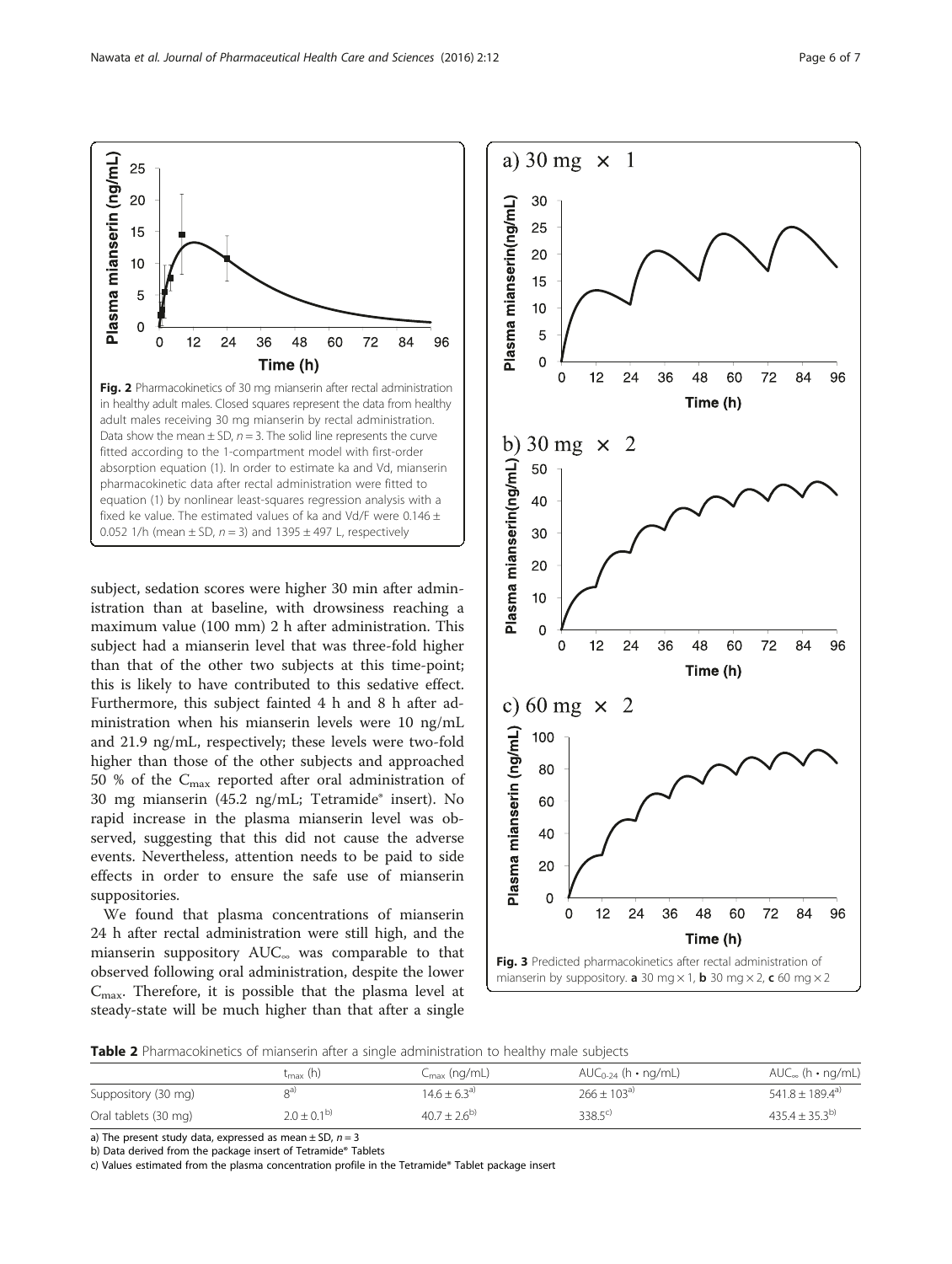subject, sedation scores were higher 30 min after administration than at baseline, with drowsiness reaching a maximum value (100 mm) 2 h after administration. This subject had a mianserin level that was three-fold higher than that of the other two subjects at this time-point; this is likely to have contributed to this sedative effect. Furthermore, this subject fainted 4 h and 8 h after administration when his mianserin levels were 10 ng/mL and 21.9 ng/mL, respectively; these levels were two-fold higher than those of the other subjects and approached 50 % of the  $C_{\rm max}$  reported after oral administration of 30 mg mianserin (45.2 ng/mL; Tetramide® insert). No rapid increase in the plasma mianserin level was observed, suggesting that this did not cause the adverse events. Nevertheless, attention needs to be paid to side effects in order to ensure the safe use of mianserin suppositories.

We found that plasma concentrations of mianserin 24 h after rectal administration were still high, and the mianserin suppository AUC<sup>∞</sup> was comparable to that observed following oral administration, despite the lower  $C_{\text{max}}$ . Therefore, it is possible that the plasma level at steady-state will be much higher than that after a single

Table 2 Pharmacokinetics of mianserin after a single administration to healthy male subjects

|                      | $t_{\rm max}$ (h) | $C_{\rm max}$ (ng/mL) | $AUC_{0-24}$ (h • ng/mL) | $AUC_{\infty}$ (h • ng/mL)      |
|----------------------|-------------------|-----------------------|--------------------------|---------------------------------|
| Suppository (30 mg)  | oa)               | $14.6 + 6.3^{a}$      | $266 + 103^{a}$          | $541.8 \pm 189.4$ <sup>a)</sup> |
| Oral tablets (30 mg) | $2.0 + 0.1^{b}$   | $40.7 + 2.6^{b}$      | $338.5^{\circ}$          | $435.4 + 35.3^{b}$              |

a) The present study data, expressed as mean  $\pm$  SD,  $n = 3$ 

b) Data derived from the package insert of Tetramide® Tablets

c) Values estimated from the plasma concentration profile in the Tetramide® Tablet package insert

<span id="page-5-0"></span>Plasma mianserin (ng/mL)  $\overline{0}$  $\overline{0}$  $12$  $24$ 36 48 60 72 84 96 Time (h) Fig. 2 Pharmacokinetics of 30 mg mianserin after rectal administration in healthy adult males. Closed squares represent the data from healthy adult males receiving 30 mg mianserin by rectal administration. Data show the mean  $\pm$  SD,  $n = 3$ . The solid line represents the curve fitted according to the 1-compartment model with first-order absorption equation ([1\)](#page-3-0). In order to estimate ka and Vd, mianserin pharmacokinetic data after rectal administration were fitted to

equation [\(1](#page-3-0)) by nonlinear least-squares regression analysis with a fixed ke value. The estimated values of ka and Vd/F were 0.146  $\pm$ 0.052 1/h (mean  $\pm$  SD,  $n = 3$ ) and 1395  $\pm$  497 L, respectively

25 20

15

 $10$ 

5